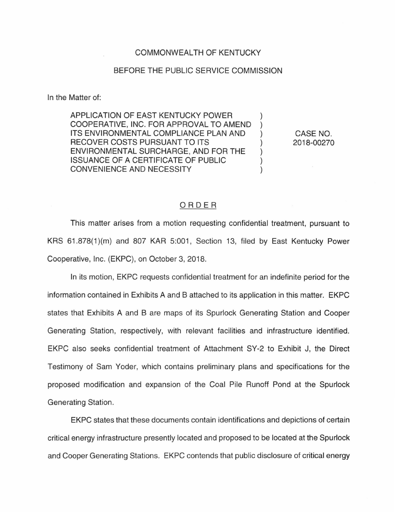## COMMONWEALTH OF KENTUCKY

## BEFORE THE PUBLIC SERVICE COMMISSION

In the Matter of:

APPLICATION OF EAST KENTUCKY POWER COOPERATIVE, INC. FOR APPROVAL TO AMEND ITS ENVIRONMENTAL COMPLIANCE PLAN AND RECOVER COSTS PURSUANT TO ITS ENVIRONMENTAL SURCHARGE, AND FOR THE ISSUANCE OF A CERTIFICATE OF PUBLIC CONVENIENCE AND NECESSITY

CASE NO. 2018-00270

 $\mathcal{E}$  $\mathcal{E}$ 

 $\mathcal{E}$ 

 $\mathcal{L}$ 

## ORDER

This matter arises from a motion requesting confidential treatment, pursuant to KRS 61.878(1)(m) and 807 KAR 5:001, Section 13, filed by East Kentucky Power Cooperative, Inc. (EKPC), on October 3, 2018.

In its motion, EKPC requests confidential treatment for an indefinite period for the information contained in Exhibits A and B attached to its application in this matter. EKPC states that Exhibits A and B are maps of its Spurlock Generating Station and Cooper Generating Station, respectively, with relevant facilities and infrastructure identified. EKPC also seeks confidential treatment of Attachment SY-2 to Exhibit J, the Direct Testimony of Sam Yoder, which contains preliminary plans and specifications for the proposed modification and expansion of the Coal Pile Runoff Pond at the Spurlock Generating Station.

EKPC states that these documents contain identifications and depictions of certain critical energy infrastructure presently located and proposed to be located at the Spurlock and Cooper Generating Stations. EKPC contends that public disclosure of critical energy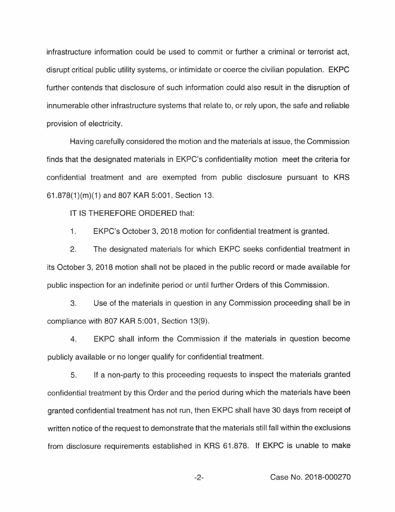infrastructure information could be used to commit or further a criminal or terrorist act, disrupt critical public utility systems, or intimidate or coerce the civilian population. EKPC further contends that disclosure of such information could also result in the disruption of innumerable other infrastructure systems that relate to, or rely upon, the safe and reliable provision of electricity.

Having carefully considered the motion and the materials at issue, the Commission finds that the designated materials in EKPC's confidentiality motion meet the criteria for confidential treatment and are exempted from public disclosure pursuant to KRS 61.878(1 )(m)(1) and 807 KAR 5:001 , Section 13.

IT IS THEREFORE ORDERED that:

1. EKPC's October 3, 2018 motion for confidential treatment is granted.

2. The designated materials for which EKPC seeks confidential treatment in its October 3, 2018 motion shall not be placed in the public record or made available for public inspection for an indefinite period or until further Orders of this Commission.

3. Use of the materials in question in any Commission proceeding shall be in compliance with 807 KAR 5:001 , Section 13(9).

4. EKPC shall inform the Commission if the materials in question become publicly available or no longer qualify for confidential treatment.

5. If a non-party to this proceeding requests to inspect the materials granted confidential treatment by this Order and the period during which the materials have been granted confidential treatment has not run , then EKPC shall have 30 days from receipt of written notice of the request to demonstrate that the materials still fall within the exclusions from disclosure requirements established in KRS 61.878. If EKPC is unable to make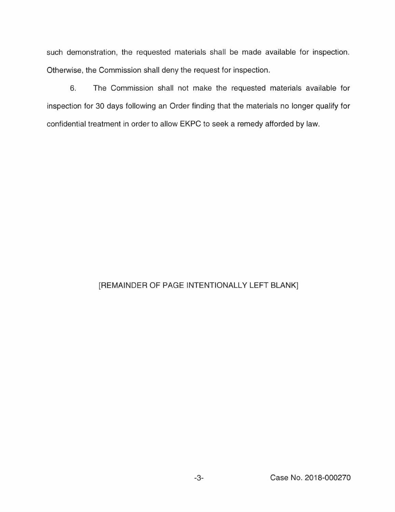such demonstration, the requested materials shall be made available for inspection. Otherwise, the Commission shall deny the request for inspection.

6. The Commission shall not make the requested materials available for inspection for 30 days following an Order finding that the materials no longer qualify for confidential treatment in order to allow EKPC to seek a remedy afforded by law.

## [REMAINDER OF PAGE INTENTIONALLY LEFT BLANK]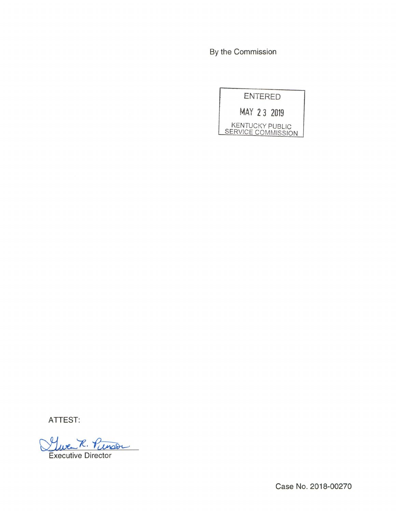By the Commission

| <b>ENTERED</b>                               |
|----------------------------------------------|
| MAY 23 2019                                  |
| <b>KENTUCKY PUBLIC</b><br>SERVICE COMMISSION |

ATTEST:

<u>Luce R. Punson</u>